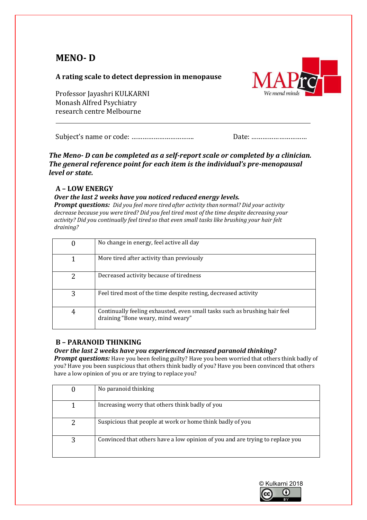# **MENO- D**

# **A rating scale to detect depression in menopause**

Professor Jayashri KULKARNI Monash Alfred Psychiatry research centre Melbourne



Subject's name or code: ……………………………. Date: …………………………

*The Meno- D can be completed as a self-report scale or completed by a clinician. The general reference point for each item is the individual's pre-menopausal level or state.*

# **A – LOW ENERGY**

## *Over the last 2 weeks have you noticed reduced energy levels.*

*Prompt questions: Did you feel more tired after activity than normal? Did your activity decrease because you were tired? Did you feel tired most of the time despite decreasing your activity? Did you continually feel tired so that even small tasks like brushing your hair felt draining?*

|   | No change in energy, feel active all day                                                                        |
|---|-----------------------------------------------------------------------------------------------------------------|
|   | More tired after activity than previously                                                                       |
|   | Decreased activity because of tiredness                                                                         |
| 3 | Feel tired most of the time despite resting, decreased activity                                                 |
| 4 | Continually feeling exhausted, even small tasks such as brushing hair feel<br>draining "Bone weary, mind weary" |

# **B – PARANOID THINKING**

# *Over the last 2 weeks have you experienced increased paranoid thinking?*

*Prompt questions:* Have you been feeling guilty? Have you been worried that others think badly of you? Have you been suspicious that others think badly of you? Have you been convinced that others have a low opinion of you or are trying to replace you?

| No paranoid thinking                                                          |
|-------------------------------------------------------------------------------|
| Increasing worry that others think badly of you                               |
| Suspicious that people at work or home think badly of you                     |
| Convinced that others have a low opinion of you and are trying to replace you |

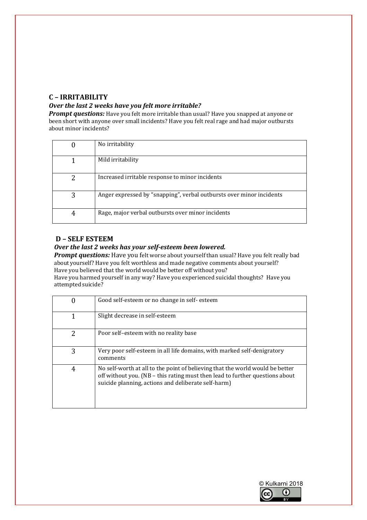# **C – IRRITABILITY**

#### *Over the last 2 weeks have you felt more irritable?*

*Prompt questions:* Have you felt more irritable than usual? Have you snapped at anyone or been short with anyone over small incidents? Have you felt real rage and had major outbursts about minor incidents?

| 0 | No irritability                                                      |
|---|----------------------------------------------------------------------|
|   | Mild irritability                                                    |
| 2 | Increased irritable response to minor incidents                      |
| 3 | Anger expressed by "snapping", verbal outbursts over minor incidents |
| 4 | Rage, major verbal outbursts over minor incidents                    |

## **D – SELF ESTEEM**

#### *Over the last 2 weeks has your self-esteem been lowered.*

**Prompt questions:** Have you felt worse about yourself than usual? Have you felt really bad aboutyourself? Have you felt worthless and made negative comments about yourself? Have you believed that the world would be better off without you?

Have you harmed yourself in any way? Have you experienced suicidal thoughts? Have you attempted suicide?

| 0 | Good self-esteem or no change in self-esteem                                                                                                                                                                         |
|---|----------------------------------------------------------------------------------------------------------------------------------------------------------------------------------------------------------------------|
|   | Slight decrease in self-esteem                                                                                                                                                                                       |
| 2 | Poor self-esteem with no reality base                                                                                                                                                                                |
| 3 | Very poor self-esteem in all life domains, with marked self-denigratory<br>comments                                                                                                                                  |
| 4 | No self-worth at all to the point of believing that the world would be better<br>off without you. (NB - this rating must then lead to further questions about<br>suicide planning, actions and deliberate self-harm) |

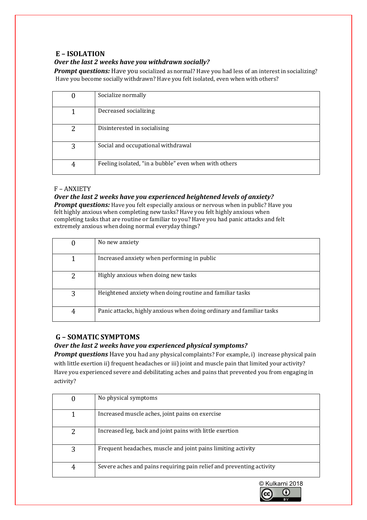## **E – ISOLATION**

## *Over the last 2 weeks have you withdrawn socially?*

**Prompt questions:** Have you socialized as normal? Have you had less of an interest in socializing? Have you become socially withdrawn? Have you felt isolated, even when with others?

|   | Socialize normally                                    |
|---|-------------------------------------------------------|
|   | Decreased socializing                                 |
| 2 | Disinterested in socialising                          |
| 3 | Social and occupational withdrawal                    |
| 4 | Feeling isolated, "in a bubble" even when with others |

#### F – ANXIETY

#### *Over the last 2 weeks have you experienced heightened levels of anxiety?*

*Prompt questions:* Have you felt especially anxious or nervous when in public? Have you felt highly anxious when completing new tasks? Have you felt highly anxious when completing tasks that are routine or familiar to you? Have you had panic attacks and felt extremely anxious when doing normal everyday things?

| 0 | No new anxiety                                                       |
|---|----------------------------------------------------------------------|
|   | Increased anxiety when performing in public                          |
| 2 | Highly anxious when doing new tasks                                  |
| 3 | Heightened anxiety when doing routine and familiar tasks             |
| 4 | Panic attacks, highly anxious when doing ordinary and familiar tasks |

#### **G – SOMATIC SYMPTOMS**

#### *Over the last 2 weeks have you experienced physical symptoms?*

**Prompt questions** Have you had any physical complaints? For example, i) increase physical pain with little exertion ii) frequent headaches or iii) joint and muscle pain that limited your activity? Have you experienced severe and debilitating aches and pains that prevented you from engaging in activity?

| 0 | No physical symptoms                                                 |
|---|----------------------------------------------------------------------|
|   | Increased muscle aches, joint pains on exercise                      |
| 2 | Increased leg, back and joint pains with little exertion             |
| 3 | Frequent headaches, muscle and joint pains limiting activity         |
| 4 | Severe aches and pains requiring pain relief and preventing activity |

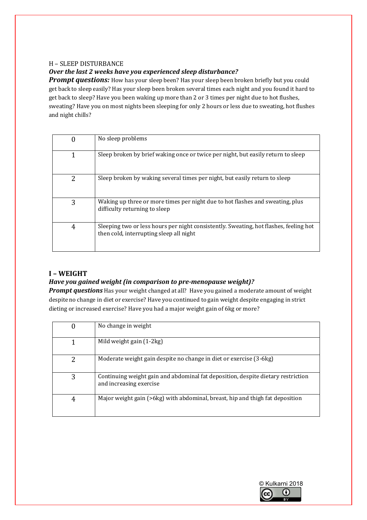#### H – SLEEP DISTURBANCE

### *Over the last 2 weeks have you experienced sleep disturbance?*

**Prompt questions:** How has your sleep been? Has your sleep been broken briefly but you could get back to sleep easily? Has your sleep been broken several times each night and you found it hard to get back to sleep? Have you been waking up more than 2 or 3 times per night due to hot flushes, sweating? Have you on most nights been sleeping for only 2 hours or less due to sweating, hot flushes and night chills?

| 0 | No sleep problems                                                                                                                |
|---|----------------------------------------------------------------------------------------------------------------------------------|
| 1 | Sleep broken by brief waking once or twice per night, but easily return to sleep                                                 |
| 2 | Sleep broken by waking several times per night, but easily return to sleep                                                       |
| 3 | Waking up three or more times per night due to hot flashes and sweating, plus<br>difficulty returning to sleep                   |
| 4 | Sleeping two or less hours per night consistently. Sweating, hot flashes, feeling hot<br>then cold, interrupting sleep all night |

# **I – WEIGHT**

#### *Have you gained weight (in comparison to pre-menopause weight)?*

*Prompt questions* Has your weight changed at all? Have you gained a moderate amount of weight despite no change in diet or exercise? Have you continued to gain weight despite engaging in strict dieting or increased exercise? Have you had a major weight gain of 6kg or more?

|   | No change in weight                                                                                         |
|---|-------------------------------------------------------------------------------------------------------------|
| 1 | Mild weight gain (1-2kg)                                                                                    |
| 2 | Moderate weight gain despite no change in diet or exercise (3-6kg)                                          |
| 3 | Continuing weight gain and abdominal fat deposition, despite dietary restriction<br>and increasing exercise |
| 4 | Major weight gain (>6kg) with abdominal, breast, hip and thigh fat deposition                               |

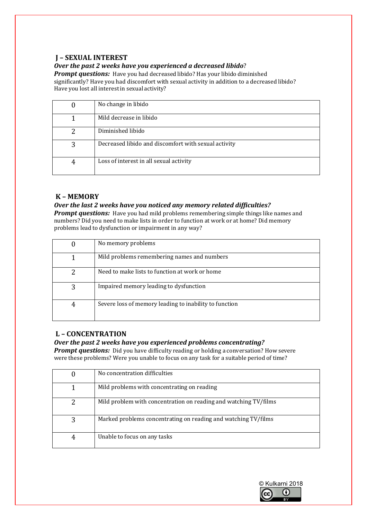# **J – SEXUAL INTEREST**

*Over the past 2 weeks have you experienced a decreased libido*?

**Prompt questions:** Have you had decreased libido? Has your libido diminished significantly? Have you had discomfort with sexual activity in addition to a decreased libido? Have you lost all interest in sexual activity?

|   | No change in libido                                  |
|---|------------------------------------------------------|
|   | Mild decrease in libido                              |
|   | Diminished libido                                    |
| 3 | Decreased libido and discomfort with sexual activity |
|   | Loss of interest in all sexual activity              |

## **K – MEMORY**

#### *Over the last 2 weeks have you noticed any memory related difficulties?*

*Prompt questions:* Have you had mild problems remembering simple things like names and numbers? Did you need to make lists in order to function at work or at home? Did memory problems lead to dysfunction or impairment in any way?

|   | No memory problems                                     |
|---|--------------------------------------------------------|
|   | Mild problems remembering names and numbers            |
| 2 | Need to make lists to function at work or home         |
| 3 | Impaired memory leading to dysfunction                 |
| 4 | Severe loss of memory leading to inability to function |

# **L – CONCENTRATION**

#### *Over the past 2 weeks have you experienced problems concentrating?*

*Prompt questions:* Did you have difficulty reading or holding a conversation? How severe were these problems? Were you unable to focus on any task for a suitable period of time?

|   | No concentration difficulties                                    |
|---|------------------------------------------------------------------|
|   | Mild problems with concentrating on reading                      |
|   | Mild problem with concentration on reading and watching TV/films |
| 3 | Marked problems concentrating on reading and watching TV/films   |
|   | Unable to focus on any tasks                                     |